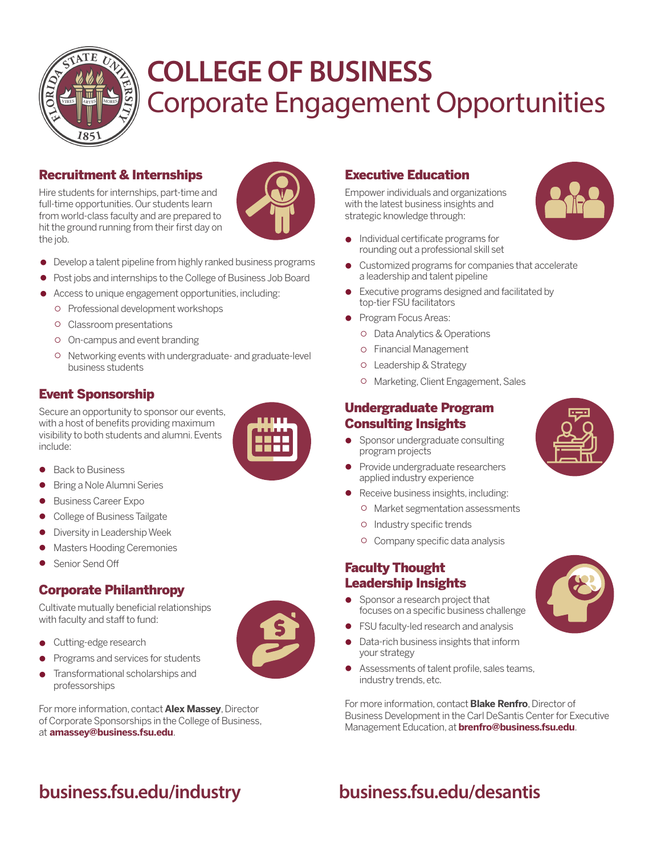

## Corporate Engagement Opportunities **COLLEGE OF BUSINESS**

## Recruitment & Internships

Hire students for internships, part-time and full-time opportunities. Our students learn from world-class faculty and are prepared to hit the ground running from their first day on the job.



- Develop a talent pipeline from highly ranked business programs l
- Post jobs and internships to the College of Business Job Board  $\bullet$
- Access to unique engagement opportunities, including:  $\bullet$ 
	- Professional development workshops
	- Classroom presentations
	- On-campus and event branding
	- Networking events with undergraduate- and graduate-level business students

## Event Sponsorship

Secure an opportunity to sponsor our events, with a host of benefits providing maximum visibility to both students and alumni. Events include:



- Back to Business  $\bullet$
- Bring a Nole Alumni Series  $\bullet$
- Business Career Expo  $\bullet$
- College of Business Tailgate  $\bullet$
- Diversity in Leadership Week  $\bullet$
- Masters Hooding Ceremonies  $\bullet$
- Senior Send Off

### Corporate Philanthropy

Cultivate mutually beneficial relationships with faculty and staff to fund:

- Cutting-edge research
- Programs and services for students  $\bullet$
- Transformational scholarships and professorships  $\bullet$

For more information, contact **Alex Massey**, Director of Corporate Sponsorships in the College of Business, at **amassey@business.fsu.edu**.

## Executive Education

Empower individuals and organizations with the latest business insights and strategic knowledge through:

- Individual certificate programs for rounding out a professional skill set  $\bullet$
- Customized programs for companies that accelerate a leadership and talent pipeline  $\bullet$
- Executive programs designed and facilitated by top-tier FSU facilitators  $\bullet$
- Program Focus Areas:
	- Data Analytics & Operations
	- Financial Management
	- Leadership & Strategy
	- Marketing, Client Engagement, Sales

#### Undergraduate Program Consulting Insights

- Sponsor undergraduate consulting program projects  $\bullet$
- Provide undergraduate researchers applied industry experience  $\bullet$
- Receive business insights, including:  $\bullet$ 
	- Market segmentation assessments
	- o Industry specific trends
	- Company specific data analysis

#### Faculty Thought Leadership Insights

- Sponsor a research project that focuses on a specific business challenge
- FSU faculty-led research and analysis
- Data-rich business insights that inform your strategy
- Assessments of talent profile, sales teams, l industry trends, etc.

For more information, contact **Blake Renfro**, Director of Business Development in the Carl DeSantis Center for Executive Management Education, at **brenfro@business.fsu.edu**.

## **business.fsu.edu/industry business.fsu.edu/desantis**